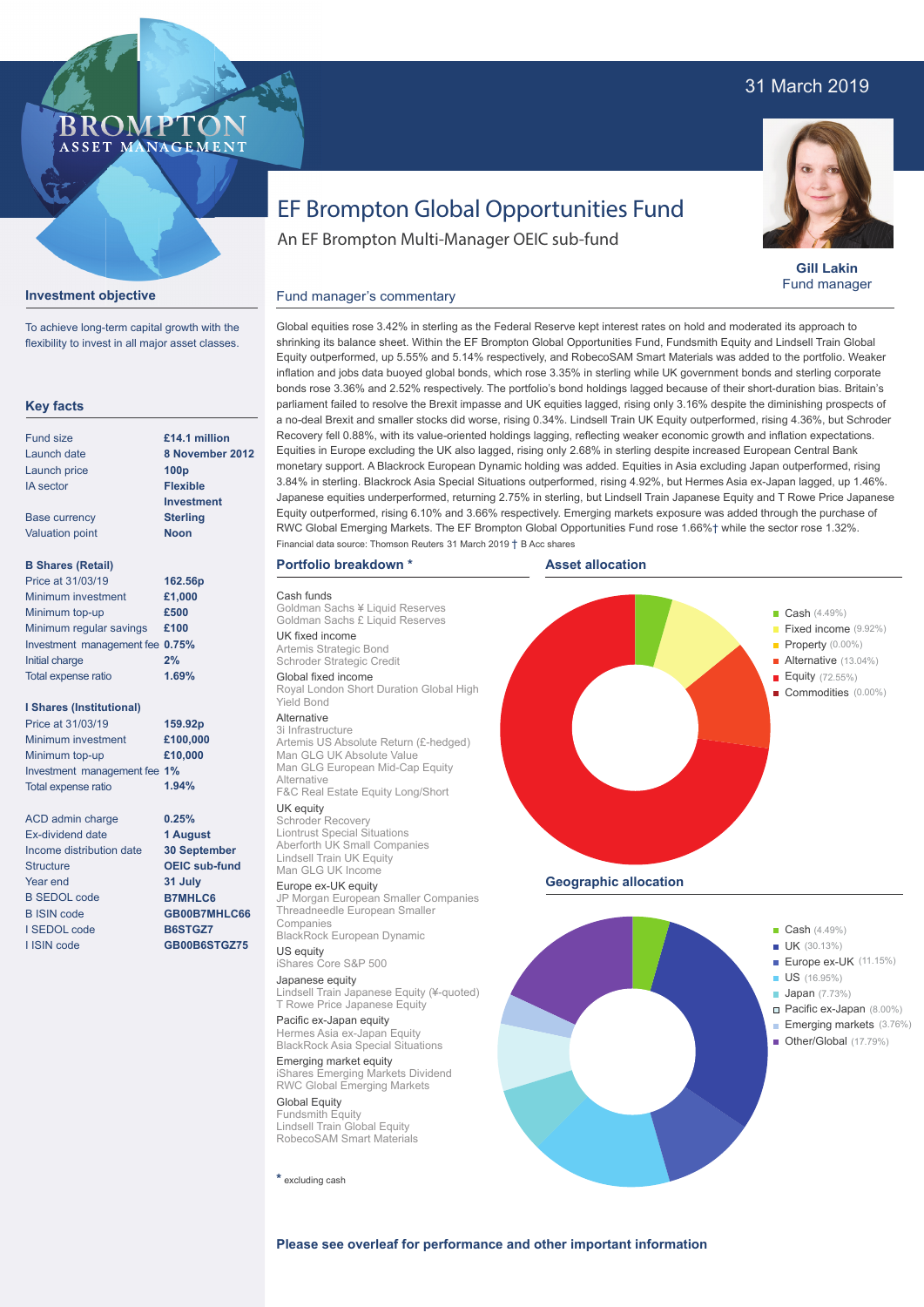# 31 March 2019



**Gill Lakin** Fund manager

# EF Brompton Global Opportunities Fund

An EF Brompton Multi-Manager OEIC sub-fund

## **Investment objective**

**BROMP** 

ASSET MANAGEMENT

To achieve long-term capital growth with the flexibility to invest in all major asset classes.

#### **Key facts** Fund size Launch date Launch price IA sector Base currency Valuation point **B Shares (Retail)** Minimum investment Minimum top-up Minimum regular savings **£100** Investment management fee **0.75%** Initial charge Total expense ratio **I Shares (Institutional)** Minimum investment Minimum top-up Investment management fee **1%** Total expense ratio ACD admin charge Ex-dividend date Income distribution date **Structure** Year end B SEDOL code B ISIN code I SEDOL code I ISIN code **8 November 2012 100p Flexible Investment Sterling Noon £1,000 £500 2% £100,000 £10,000 0.25% 1 August 30 September OEIC sub-fund 31 July B7MHLC6 GB00B7MHLC66 B6STGZ7 GB00B6STGZ75 £14.1 million 162.56p 159.92p** Price at 31/03/19 Price at 31/03/19 **1.69% 1.94%**

### Global equities rose 3.42% in sterling as the Federal Reserve kept interest rates on hold and moderated its approach to shrinking its balance sheet. Within the EF Brompton Global Opportunities Fund, Fundsmith Equity and Lindsell Train Global Equity outperformed, up 5.55% and 5.14% respectively, and RobecoSAM Smart Materials was added to the portfolio. Weaker inflation and jobs data buoyed global bonds, which rose 3.35% in sterling while UK government bonds and sterling corporate bonds rose 3.36% and 2.52% respectively. The portfolio's bond holdings lagged because of their short-duration bias. Britain's parliament failed to resolve the Brexit impasse and UK equities lagged, rising only 3.16% despite the diminishing prospects of a no-deal Brexit and smaller stocks did worse, rising 0.34%. Lindsell Train UK Equity outperformed, rising 4.36%, but Schroder Recovery fell 0.88%, with its value-oriented holdings lagging, reflecting weaker economic growth and inflation expectations. Equities in Europe excluding the UK also lagged, rising only 2.68% in sterling despite increased European Central Bank monetary support. A Blackrock European Dynamic holding was added. Equities in Asia excluding Japan outperformed, rising 3.84% in sterling. Blackrock Asia Special Situations outperformed, rising 4.92%, but Hermes Asia ex-Japan lagged, up 1.46%. Japanese equities underperformed, returning 2.75% in sterling, but Lindsell Train Japanese Equity and T Rowe Price Japanese Equity outperformed, rising 6.10% and 3.66% respectively. Emerging markets exposure was added through the purchase of RWC Global Emerging Markets. The EF Brompton Global Opportunities Fund rose 1.66%† while the sector rose 1.32%. Financial data source: Thomson Reuters 31 March 2019 † B Acc shares

#### **Portfolio breakdown \***

Fund manager's commentary

Cash funds Goldman Sachs ¥ Liquid Reserves Goldman Sachs £ Liquid Reserves UK fixed income Artemis Strategic Bond Schroder Strategic Credit Global fixed income Royal London Short Duration Global High Yield Bond Alternative

3i Infrastructure Artemis US Absolute Return (£-hedged) Man GLG UK Absolute Value Man GLG European Mid-Cap Equity Alternative

# F&C Real Estate Equity Long/Short

UK equity Schroder Recovery Liontrust Special Situations Aberforth UK Small Companies Lindsell Train UK Equity Man GLG UK Income

# Europe ex-UK equity JP Morgan European Smaller Companies Threadneedle European Smaller Companies

BlackRock European Dynamic US equity

iShares Core S&P 500 Japanese equity

Lindsell Train Japanese Equity (¥-quoted) T Rowe Price Japanese Equity Pacific ex-Japan equity

Hermes Asia ex-Japan Equity BlackRock Asia Special Situations Emerging market equity

iShares Emerging Markets Dividend RWC Global Emerging Markets Global Equity

Fundsmith Equity Lindsell Train Global Equity RobecoSAM Smart Materials

**\*** excluding cash





**Please see overleaf for performance and other important information**